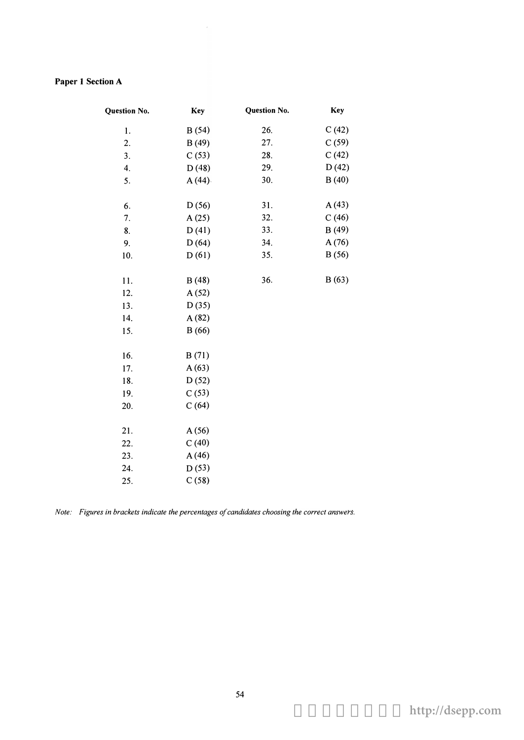## Paper 1 Section A

| <b>Question No.</b> | Key   | <b>Question No.</b> | <b>Key</b> |  |
|---------------------|-------|---------------------|------------|--|
| 1.                  | B(54) | 26.                 | C(42)      |  |
| 2.                  | B(49) | 27.                 | C(59)      |  |
| 3.                  | C(53) | 28.                 | C(42)      |  |
| 4.                  | D(48) | 29.                 | D(42)      |  |
| 5.                  | A(44) | 30.                 | B(40)      |  |
| 6.                  | D(56) | 31.                 | A(43)      |  |
| 7.                  | A(25) | 32.                 | C(46)      |  |
| 8.                  | D(41) | 33.                 | B(49)      |  |
| 9.                  | D(64) | 34.                 | A(76)      |  |
| 10.                 | D(61) | 35.                 | B(56)      |  |
| 11.                 | B(48) | 36.                 | B(63)      |  |
| 12.                 | A(52) |                     |            |  |
| 13.                 | D(35) |                     |            |  |
| 14.                 | A(82) |                     |            |  |
| 15.                 | B(66) |                     |            |  |
| 16.                 | B(71) |                     |            |  |
| 17.                 | A(63) |                     |            |  |
| 18.                 | D(52) |                     |            |  |
| 19.                 | C(53) |                     |            |  |
| 20.                 | C(64) |                     |            |  |
| 21.                 | A(56) |                     |            |  |
| 22.                 | C(40) |                     |            |  |
| 23.                 | A(46) |                     |            |  |
| 24.                 | D(53) |                     |            |  |
| 25.                 | C(58) |                     |            |  |

 $\hat{\boldsymbol{r}}$ 

Note: Figures in brackets indicate the percentages of candidates choosing the correct answers.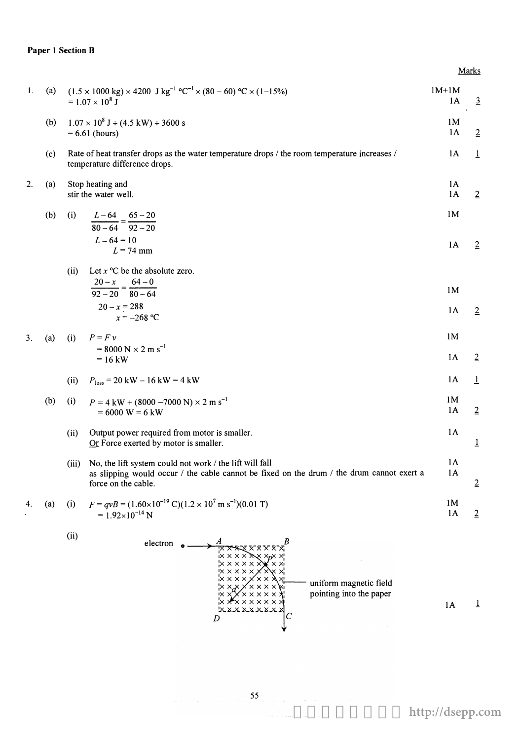## Paper 1 Section B

## Marks

| 1. | (a) |       | $(1.5 \times 1000 \text{ kg}) \times 4200 \text{ J kg}^{-1} {}^{\circ}C^{-1} \times (80 - 60) {}^{\circ}C \times (1 - 15\%)$<br>$= 1.07 \times 10^8$ J                                                                                                                                        | $1M+1M$<br>1A        | $\overline{3}$ |
|----|-----|-------|-----------------------------------------------------------------------------------------------------------------------------------------------------------------------------------------------------------------------------------------------------------------------------------------------|----------------------|----------------|
|    | (b) |       | $1.07 \times 10^8$ J ÷ (4.5 kW) ÷ 3600 s<br>$= 6.61$ (hours)                                                                                                                                                                                                                                  | 1 <sub>M</sub><br>1A | $\overline{2}$ |
|    | (c) |       | Rate of heat transfer drops as the water temperature drops / the room temperature increases /<br>temperature difference drops.                                                                                                                                                                | 1A                   | $\overline{1}$ |
| 2. | (a) |       | Stop heating and<br>stir the water well.                                                                                                                                                                                                                                                      | 1A<br>1A             | $\overline{2}$ |
|    | (b) | (i)   | $\frac{L-64}{80-64} = \frac{65-20}{92-20}$                                                                                                                                                                                                                                                    | 1 <sub>M</sub>       |                |
|    |     |       | $L - 64 = 10$<br>$L = 74$ mm                                                                                                                                                                                                                                                                  | 1A                   | $\overline{2}$ |
|    |     | (ii)  | Let $x$ °C be the absolute zero.<br>$\frac{20-x}{92-20} = \frac{64-0}{80-64}$                                                                                                                                                                                                                 | 1M                   |                |
|    |     |       | $20 - x = 288$<br>$x = -268$ °C                                                                                                                                                                                                                                                               | 1A                   | $\overline{2}$ |
| 3. | (a) | (i)   | $P = F v$                                                                                                                                                                                                                                                                                     | 1M                   |                |
|    |     |       | $= 8000$ N $\times$ 2 m s <sup>-1</sup><br>$= 16$ kW                                                                                                                                                                                                                                          | 1A                   | $\overline{2}$ |
|    |     | (ii)  | $P_{\text{loss}} = 20 \text{ kW} - 16 \text{ kW} = 4 \text{ kW}$                                                                                                                                                                                                                              | 1A                   | $\mathbf 1$    |
|    | (b) | (i)   | $P = 4 \text{ kW} + (8000 - 7000 \text{ N}) \times 2 \text{ m s}^{-1}$<br>$= 6000 W = 6 kW$                                                                                                                                                                                                   | 1M<br>1A             | $\overline{2}$ |
|    |     | (ii)  | Output power required from motor is smaller.<br>Or Force exerted by motor is smaller.                                                                                                                                                                                                         | 1A                   | $\overline{1}$ |
|    |     | (iii) | No, the lift system could not work / the lift will fall<br>as slipping would occur / the cable cannot be fixed on the drum / the drum cannot exert a<br>force on the cable.                                                                                                                   | 1A<br>1A             | $\overline{2}$ |
| 4. | (a) | (i)   | $F = qvB = (1.60 \times 10^{-19} \text{ C})(1.2 \times 10^7 \text{ m s}^{-1})(0.01 \text{ T})$<br>$= 1.92 \times 10^{-14}$ N                                                                                                                                                                  | 1M<br>1A             | $\overline{2}$ |
|    |     | (ii)  | electron<br>$\mathsf{I}\mathsf{X}\mathsf{X}\mathsf{X}\mathsf{X}$<br>x x x x x<br>'x x x x x<br>$\times$ $\times$ $\times$ $\times$<br>uniform magnetic field<br>pointing into the paper<br>x x x x x<br>$\times$ $\times$ $\times$ $\times$ $\times$ $\times$ $\times$<br>xxxxxxxxx<br>С<br>D | 1A                   | $\overline{1}$ |

更多試卷歡迎瀏覽 **http://dsepp.com**

55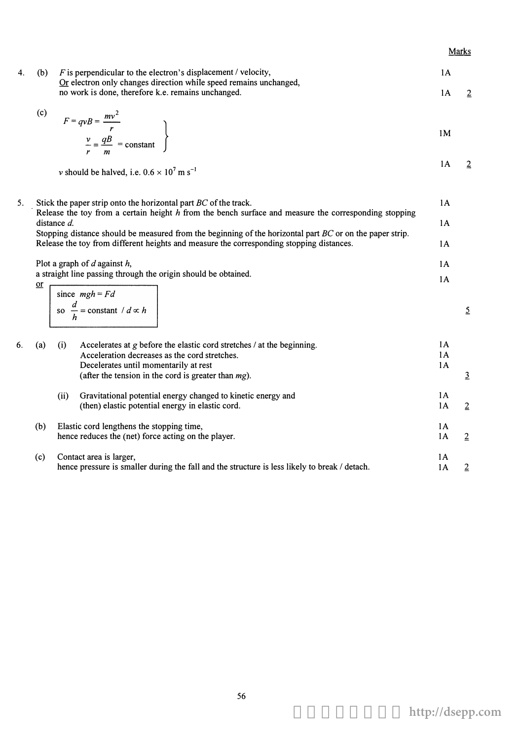|    |      |                                                                                                                                                                                                                                          |                | Marks          |
|----|------|------------------------------------------------------------------------------------------------------------------------------------------------------------------------------------------------------------------------------------------|----------------|----------------|
| 4. | (b)  | $F$ is perpendicular to the electron's displacement / velocity,<br>Or electron only changes direction while speed remains unchanged,<br>no work is done, therefore k.e. remains unchanged.                                               | 1A<br>1A       | $\overline{2}$ |
|    | (c)  | $F = qvB = \frac{mv^2}{r}$<br>$\frac{v}{r} = \frac{qB}{m}$ = constant<br>v should be halved, i.e. $0.6 \times 10^7$ m s <sup>-1</sup>                                                                                                    | 1M<br>1A       | $\overline{2}$ |
| 5. |      | Stick the paper strip onto the horizontal part BC of the track.<br>Release the toy from a certain height h from the bench surface and measure the corresponding stopping                                                                 | 1A             |                |
|    |      | distance d.<br>Stopping distance should be measured from the beginning of the horizontal part BC or on the paper strip.                                                                                                                  | 1A             |                |
|    |      | Release the toy from different heights and measure the corresponding stopping distances.                                                                                                                                                 | 1A             |                |
|    |      | Plot a graph of $d$ against $h$ ,                                                                                                                                                                                                        | 1A             |                |
|    | $or$ | a straight line passing through the origin should be obtained.<br>since $mgh = Fd$                                                                                                                                                       | 1A             |                |
|    |      | so $\frac{d}{h}$ = constant / $d \propto h$                                                                                                                                                                                              |                | $\overline{2}$ |
| 6. | (a)  | Accelerates at $g$ before the elastic cord stretches $\ell$ at the beginning.<br>(i)<br>Acceleration decreases as the cord stretches.<br>Decelerates until momentarily at rest<br>(after the tension in the cord is greater than $mg$ ). | 1A<br>1A<br>1A | $\overline{3}$ |
|    |      | (ii)<br>Gravitational potential energy changed to kinetic energy and<br>(then) elastic potential energy in elastic cord.                                                                                                                 | 1A<br>1A       | $\overline{2}$ |
|    | (b)  | Elastic cord lengthens the stopping time,<br>hence reduces the (net) force acting on the player.                                                                                                                                         | 1A<br>1A       | $\overline{2}$ |
|    | (c)  | Contact area is larger,<br>hence pressure is smaller during the fall and the structure is less likely to break / detach.                                                                                                                 | 1A<br>1A       | $\overline{2}$ |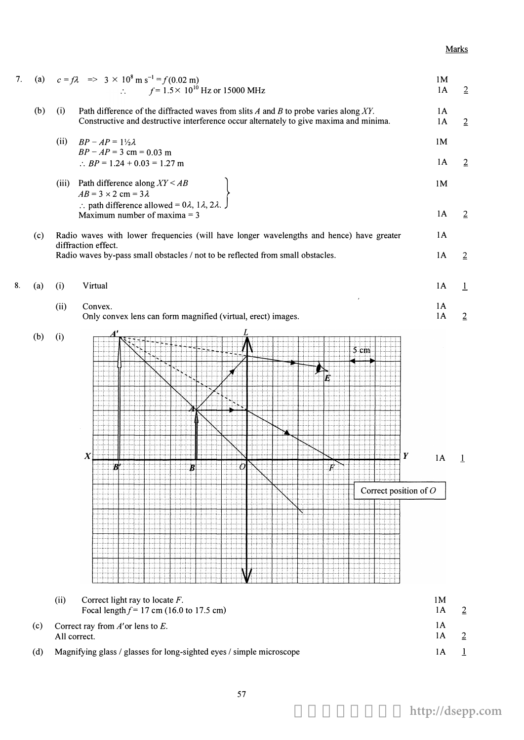## Marks

| 7. |     |                                                                                                        | (a) $c = f\lambda \implies 3 \times 10^8 \text{ m s}^{-1} = f(0.02 \text{ m})$<br>$f = 1.5 \times 10^{10}$ Hz or 15000 MHz<br>$\mathcal{L}^{\mathcal{L}}$                             | 1M<br>1A | $\overline{2}$ |
|----|-----|--------------------------------------------------------------------------------------------------------|---------------------------------------------------------------------------------------------------------------------------------------------------------------------------------------|----------|----------------|
|    | (b) | (i)                                                                                                    | Path difference of the diffracted waves from slits $A$ and $B$ to probe varies along $XY$ .<br>Constructive and destructive interference occur alternately to give maxima and minima. | 1A<br>1A | $\overline{2}$ |
|    |     | (ii)                                                                                                   | $BP - AP = 1\frac{1}{2}\lambda$<br>$BP - AP = 3$ cm = 0.03 m<br>$\therefore BP = 1.24 + 0.03 = 1.27$ m                                                                                | 1M<br>1A | $\overline{2}$ |
|    |     | (iii)                                                                                                  | Path difference along $XY < AB$<br>$AB = 3 \times 2$ cm = 3 $\lambda$                                                                                                                 | 1M       |                |
|    |     |                                                                                                        | : path difference allowed = $0\lambda$ , $1\lambda$ , $2\lambda$ .<br>Maximum number of maxima $=$ 3                                                                                  | 1A       | $\overline{2}$ |
|    | (c) | Radio waves with lower frequencies (will have longer wavelengths and hence) have greater               |                                                                                                                                                                                       |          |                |
|    |     | diffraction effect.<br>Radio waves by-pass small obstacles / not to be reflected from small obstacles. |                                                                                                                                                                                       |          | $\overline{2}$ |
| 8. | (a) | (i)                                                                                                    | Virtual                                                                                                                                                                               | 1A       | $\perp$        |
|    |     | (ii)                                                                                                   | Convex.<br>Only convex lens can form magnified (virtual, erect) images.                                                                                                               | 1A<br>1A | $\overline{2}$ |
|    | (b) | (i)                                                                                                    | 5cm<br>Y<br>X<br>B<br>Correct position of $O$                                                                                                                                         | 1A       | T              |
|    |     | (ii)                                                                                                   | Correct light ray to locate $F$ .<br>Focal length $f = 17$ cm (16.0 to 17.5 cm)                                                                                                       | 1M<br>1A | $\overline{2}$ |
|    | (c) |                                                                                                        | Correct ray from $A'$ or lens to $E$ .<br>All correct.                                                                                                                                | 1A<br>1A | $\overline{2}$ |
|    | (d) |                                                                                                        | Magnifying glass / glasses for long-sighted eyes / simple microscope                                                                                                                  | 1A       | $\overline{1}$ |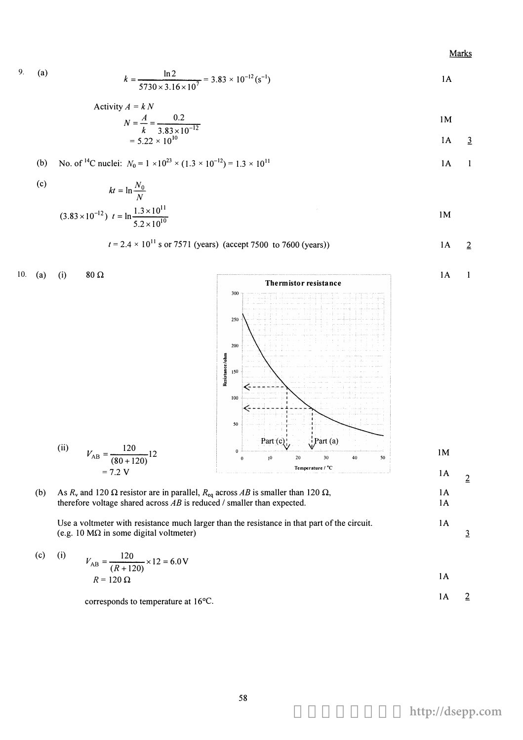Marks

 $\mathbf{1}$ 

 $\overline{2}$ 

 $\overline{3}$ 

 $\overline{2}$ 

 $1A$  $1A$ 

 $1A$ 

 $1A$ 

9.  $(a)$ 

$$
k = \frac{\ln 2}{5730 \times 3.16 \times 10^7} = 3.83 \times 10^{-12} \text{(s}^{-1})
$$
1A

Activity 
$$
A = kN
$$
  
\n
$$
N = \frac{A}{k} = \frac{0.2}{3.83 \times 10^{-12}}
$$

$$
= 5.22 \times 10^{10} \t\t 1A \t \t \t \t \t \t \t \t \t 1
$$

(b) No. of <sup>14</sup>C nuclei: 
$$
N_0 = 1 \times 10^{23} \times (1.3 \times 10^{-12}) = 1.3 \times 10^{11}
$$

 $(c)$ 

$$
kt = \ln \frac{N_0}{N}
$$
  
(3.83×10<sup>-12</sup>) t =  $\ln \frac{1.3 \times 10^{11}}{5.2 \times 10^{10}}$  1M

$$
t = 2.4 \times 10^{11}
$$
 s or 7571 (years) (accept 7500 to 7600 (years))

10. (a) (i) 
$$
80 \Omega
$$

 $(ii)$ 

 $1A$ Thermistor resistance 300 250 200 Resistance /ohm  $150$ 100 ←  $50$ Part (c)  $Part(a)$  $V_{AB} = \frac{120}{(80 + 120)} 12$  $\pmb{0}$  $1\mathrm{M}$  $\overline{10}$  $30$  $40$ 50  $\pmb{0}$  $20\,$ Temperature /  $^{\circ}$ C  $= 7.2 V$  $1A$ 

(b) As 
$$
R_v
$$
 and 120  $\Omega$  resistor are in parallel,  $R_{eq}$  across AB is smaller than 120  $\Omega$ , therefore voltage shared across AB is reduced / smaller than expected.

Use a voltmeter with resistance much larger than the resistance in that part of the circuit. (e.g. 10  $M\Omega$  in some digital voltmeter)

(c) (i) 
$$
V_{AB} = \frac{120}{(R + 120)} \times 12 = 6.0 \text{ V}
$$
  
  $R = 120 \Omega$ 

corresponds to temperature at 16°C.